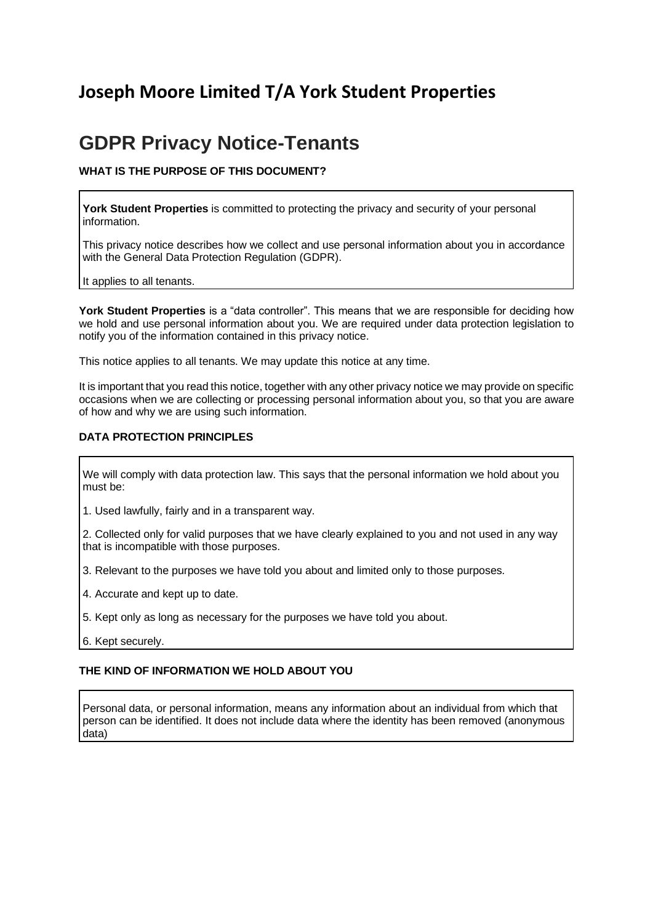## **Joseph Moore Limited T/A York Student Properties**

# **GDPR Privacy Notice-Tenants**

## **WHAT IS THE PURPOSE OF THIS DOCUMENT?**

York Student Properties is committed to protecting the privacy and security of your personal information.

This privacy notice describes how we collect and use personal information about you in accordance with the General Data Protection Regulation (GDPR).

It applies to all tenants.

**York Student Properties** is a "data controller". This means that we are responsible for deciding how we hold and use personal information about you. We are required under data protection legislation to notify you of the information contained in this privacy notice.

This notice applies to all tenants. We may update this notice at any time.

It is important that you read this notice, together with any other privacy notice we may provide on specific occasions when we are collecting or processing personal information about you, so that you are aware of how and why we are using such information.

## **DATA PROTECTION PRINCIPLES**

We will comply with data protection law. This says that the personal information we hold about you must be:

1. Used lawfully, fairly and in a transparent way.

2. Collected only for valid purposes that we have clearly explained to you and not used in any way that is incompatible with those purposes.

3. Relevant to the purposes we have told you about and limited only to those purposes.

- 4. Accurate and kept up to date.
- 5. Kept only as long as necessary for the purposes we have told you about.
- 6. Kept securely.

#### **THE KIND OF INFORMATION WE HOLD ABOUT YOU**

Personal data, or personal information, means any information about an individual from which that person can be identified. It does not include data where the identity has been removed (anonymous data)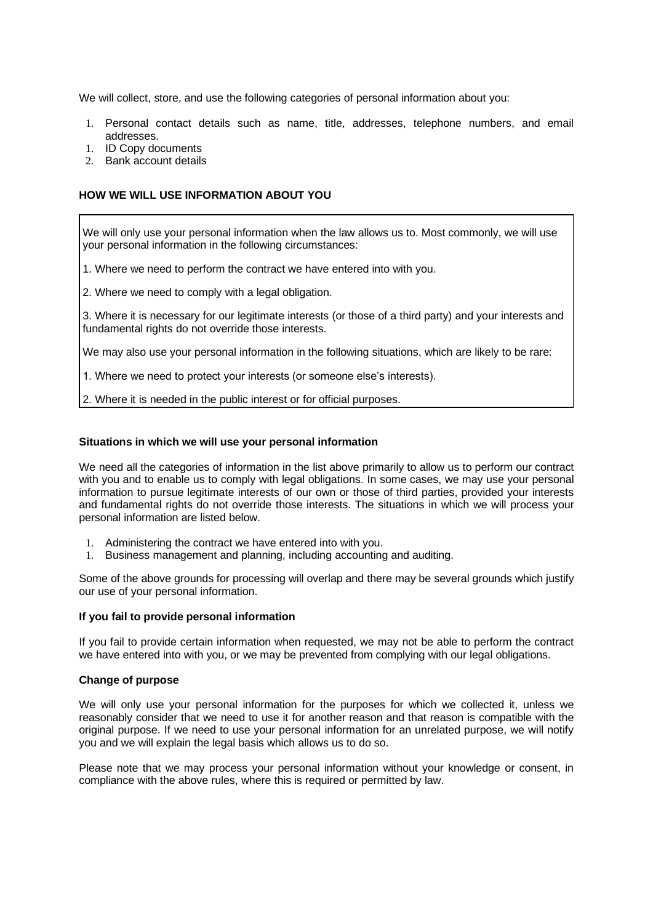We will collect, store, and use the following categories of personal information about you:

- 1. Personal contact details such as name, title, addresses, telephone numbers, and email addresses.
- 1. ID Copy documents
- 2. Bank account details

## **HOW WE WILL USE INFORMATION ABOUT YOU**

We will only use your personal information when the law allows us to. Most commonly, we will use your personal information in the following circumstances:

1. Where we need to perform the contract we have entered into with you.

2. Where we need to comply with a legal obligation.

3. Where it is necessary for our legitimate interests (or those of a third party) and your interests and fundamental rights do not override those interests.

We may also use your personal information in the following situations, which are likely to be rare:

1. Where we need to protect your interests (or someone else's interests).

2. Where it is needed in the public interest or for official purposes.

#### **Situations in which we will use your personal information**

We need all the categories of information in the list above primarily to allow us to perform our contract with you and to enable us to comply with legal obligations. In some cases, we may use your personal information to pursue legitimate interests of our own or those of third parties, provided your interests and fundamental rights do not override those interests. The situations in which we will process your personal information are listed below.

- 1. Administering the contract we have entered into with you.
- 1. Business management and planning, including accounting and auditing.

Some of the above grounds for processing will overlap and there may be several grounds which justify our use of your personal information.

#### **If you fail to provide personal information**

If you fail to provide certain information when requested, we may not be able to perform the contract we have entered into with you, or we may be prevented from complying with our legal obligations.

#### **Change of purpose**

We will only use your personal information for the purposes for which we collected it, unless we reasonably consider that we need to use it for another reason and that reason is compatible with the original purpose. If we need to use your personal information for an unrelated purpose, we will notify you and we will explain the legal basis which allows us to do so.

Please note that we may process your personal information without your knowledge or consent, in compliance with the above rules, where this is required or permitted by law.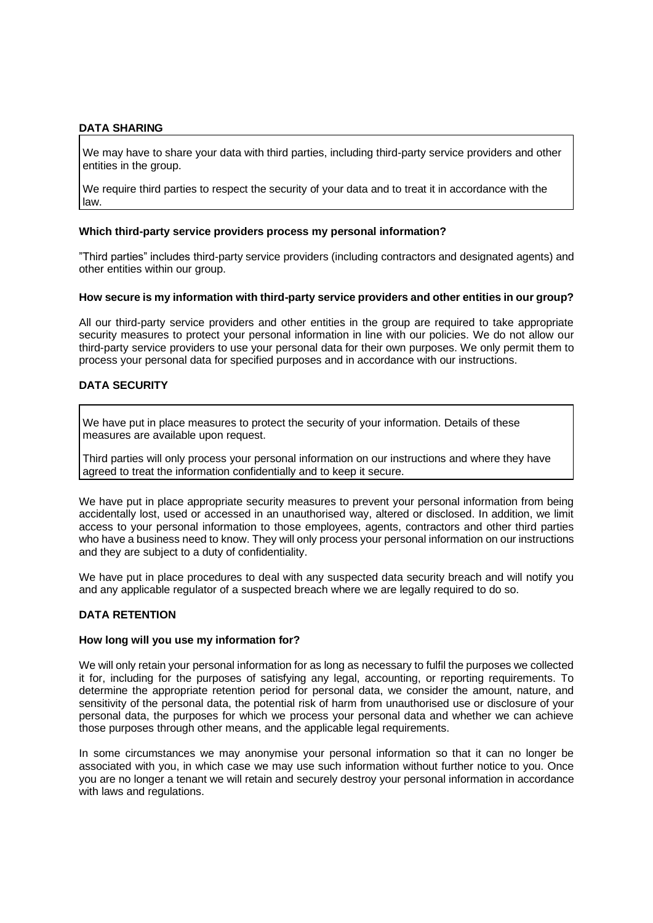## **DATA SHARING**

We may have to share your data with third parties, including third-party service providers and other entities in the group.

We require third parties to respect the security of your data and to treat it in accordance with the law.

#### **Which third-party service providers process my personal information?**

"Third parties" includes third-party service providers (including contractors and designated agents) and other entities within our group.

#### **How secure is my information with third-party service providers and other entities in our group?**

All our third-party service providers and other entities in the group are required to take appropriate security measures to protect your personal information in line with our policies. We do not allow our third-party service providers to use your personal data for their own purposes. We only permit them to process your personal data for specified purposes and in accordance with our instructions.

## **DATA SECURITY**

We have put in place measures to protect the security of your information. Details of these measures are available upon request.

Third parties will only process your personal information on our instructions and where they have agreed to treat the information confidentially and to keep it secure.

We have put in place appropriate security measures to prevent your personal information from being accidentally lost, used or accessed in an unauthorised way, altered or disclosed. In addition, we limit access to your personal information to those employees, agents, contractors and other third parties who have a business need to know. They will only process your personal information on our instructions and they are subject to a duty of confidentiality.

We have put in place procedures to deal with any suspected data security breach and will notify you and any applicable regulator of a suspected breach where we are legally required to do so.

## **DATA RETENTION**

#### **How long will you use my information for?**

We will only retain your personal information for as long as necessary to fulfil the purposes we collected it for, including for the purposes of satisfying any legal, accounting, or reporting requirements. To determine the appropriate retention period for personal data, we consider the amount, nature, and sensitivity of the personal data, the potential risk of harm from unauthorised use or disclosure of your personal data, the purposes for which we process your personal data and whether we can achieve those purposes through other means, and the applicable legal requirements.

In some circumstances we may anonymise your personal information so that it can no longer be associated with you, in which case we may use such information without further notice to you. Once you are no longer a tenant we will retain and securely destroy your personal information in accordance with laws and regulations.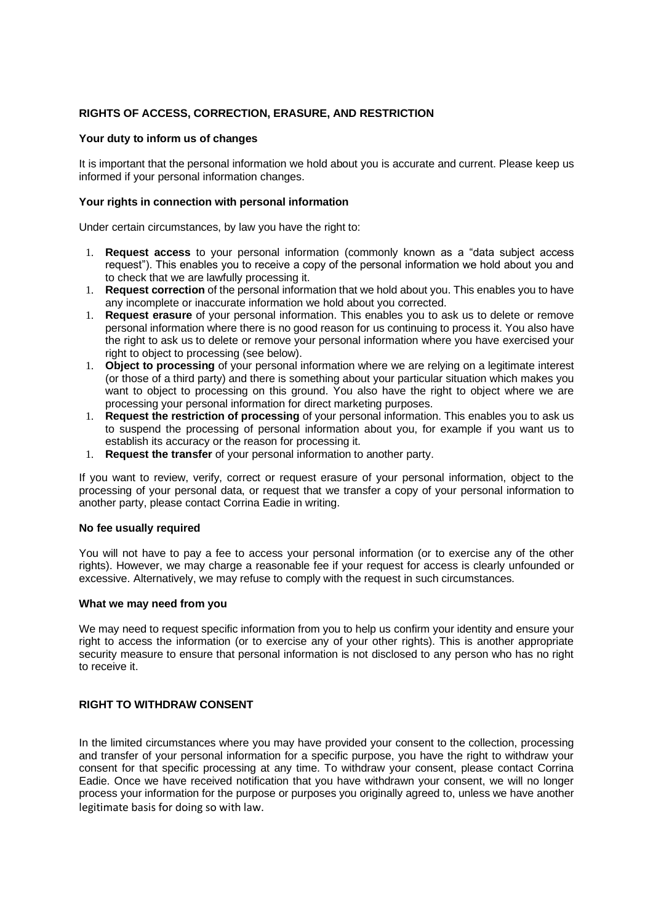## **RIGHTS OF ACCESS, CORRECTION, ERASURE, AND RESTRICTION**

#### **Your duty to inform us of changes**

It is important that the personal information we hold about you is accurate and current. Please keep us informed if your personal information changes.

#### **Your rights in connection with personal information**

Under certain circumstances, by law you have the right to:

- 1. **Request access** to your personal information (commonly known as a "data subject access request"). This enables you to receive a copy of the personal information we hold about you and to check that we are lawfully processing it.
- 1. **Request correction** of the personal information that we hold about you. This enables you to have any incomplete or inaccurate information we hold about you corrected.
- 1. **Request erasure** of your personal information. This enables you to ask us to delete or remove personal information where there is no good reason for us continuing to process it. You also have the right to ask us to delete or remove your personal information where you have exercised your right to object to processing (see below).
- 1. **Object to processing** of your personal information where we are relying on a legitimate interest (or those of a third party) and there is something about your particular situation which makes you want to object to processing on this ground. You also have the right to object where we are processing your personal information for direct marketing purposes.
- 1. **Request the restriction of processing** of your personal information. This enables you to ask us to suspend the processing of personal information about you, for example if you want us to establish its accuracy or the reason for processing it.
- 1. **Request the transfer** of your personal information to another party.

If you want to review, verify, correct or request erasure of your personal information, object to the processing of your personal data, or request that we transfer a copy of your personal information to another party, please contact Corrina Eadie in writing.

#### **No fee usually required**

You will not have to pay a fee to access your personal information (or to exercise any of the other rights). However, we may charge a reasonable fee if your request for access is clearly unfounded or excessive. Alternatively, we may refuse to comply with the request in such circumstances.

#### **What we may need from you**

We may need to request specific information from you to help us confirm your identity and ensure your right to access the information (or to exercise any of your other rights). This is another appropriate security measure to ensure that personal information is not disclosed to any person who has no right to receive it.

## **RIGHT TO WITHDRAW CONSENT**

In the limited circumstances where you may have provided your consent to the collection, processing and transfer of your personal information for a specific purpose, you have the right to withdraw your consent for that specific processing at any time. To withdraw your consent, please contact Corrina Eadie. Once we have received notification that you have withdrawn your consent, we will no longer process your information for the purpose or purposes you originally agreed to, unless we have another legitimate basis for doing so with law.